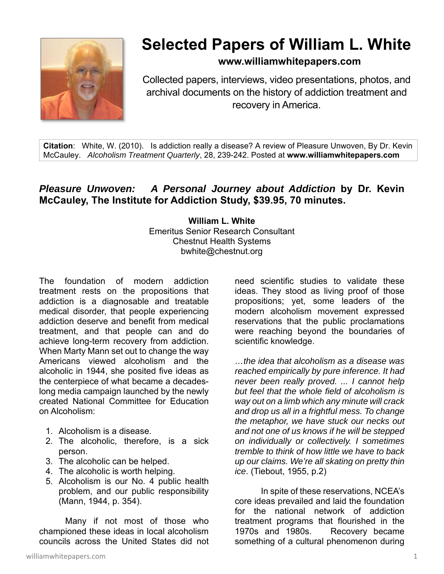

# **Selected Papers of William L. White**

## **www.williamwhitepapers.com**

Collected papers, interviews, video presentations, photos, and archival documents on the history of addiction treatment and recovery in America.

**Citation**: White, W. (2010). Is addiction really a disease? A review of Pleasure Unwoven, By Dr. Kevin McCauley. *Alcoholism Treatment Quarterly*, 28, 239-242. Posted at **www.williamwhitepapers.com** 

## *Pleasure Unwoven: A Personal Journey about Addiction* **by Dr. Kevin McCauley, The Institute for Addiction Study, \$39.95, 70 minutes.**

### **William L. White**  Emeritus Senior Research Consultant Chestnut Health Systems bwhite@chestnut.org

The foundation of modern addiction treatment rests on the propositions that addiction is a diagnosable and treatable medical disorder, that people experiencing addiction deserve and benefit from medical treatment, and that people can and do achieve long-term recovery from addiction. When Marty Mann set out to change the way Americans viewed alcoholism and the alcoholic in 1944, she posited five ideas as the centerpiece of what became a decadeslong media campaign launched by the newly created National Committee for Education on Alcoholism:

- 1. Alcoholism is a disease.
- 2. The alcoholic, therefore, is a sick person.
- 3. The alcoholic can be helped.
- 4. The alcoholic is worth helping.
- 5. Alcoholism is our No. 4 public health problem, and our public responsibility (Mann, 1944, p. 354).

Many if not most of those who championed these ideas in local alcoholism councils across the United States did not

need scientific studies to validate these ideas. They stood as living proof of those propositions; yet, some leaders of the modern alcoholism movement expressed reservations that the public proclamations were reaching beyond the boundaries of scientific knowledge.

*…the idea that alcoholism as a disease was reached empirically by pure inference. It had never been really proved. ... I cannot help but feel that the whole field of alcoholism is way out on a limb which any minute will crack and drop us all in a frightful mess. To change the metaphor, we have stuck our necks out and not one of us knows if he will be stepped on individually or collectively. I sometimes tremble to think of how little we have to back up our claims. We're all skating on pretty thin ice*. (Tiebout, 1955, p.2)

 In spite of these reservations, NCEA's core ideas prevailed and laid the foundation for the national network of addiction treatment programs that flourished in the 1970s and 1980s. Recovery became something of a cultural phenomenon during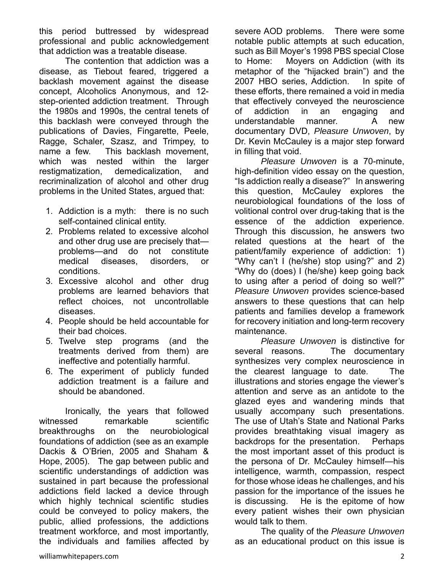this period buttressed by widespread professional and public acknowledgement that addiction was a treatable disease.

 The contention that addiction was a disease, as Tiebout feared, triggered a backlash movement against the disease concept, Alcoholics Anonymous, and 12 step-oriented addiction treatment. Through the 1980s and 1990s, the central tenets of this backlash were conveyed through the publications of Davies, Fingarette, Peele, Ragge, Schaler, Szasz, and Trimpey, to name a few. This backlash movement, which was nested within the larger restigmatization, demedicalization, and recriminalization of alcohol and other drug problems in the United States, argued that:

- 1. Addiction is a myth: there is no such self-contained clinical entity.
- 2. Problems related to excessive alcohol and other drug use are precisely that problems—and do not constitute medical diseases, disorders, or conditions.
- 3. Excessive alcohol and other drug problems are learned behaviors that reflect choices, not uncontrollable diseases.
- 4. People should be held accountable for their bad choices.
- 5. Twelve step programs (and the treatments derived from them) are ineffective and potentially harmful.
- 6. The experiment of publicly funded addiction treatment is a failure and should be abandoned.

Ironically, the years that followed witnessed remarkable scientific breakthroughs on the neurobiological foundations of addiction (see as an example Dackis & O'Brien, 2005 and Shaham & Hope, 2005). The gap between public and scientific understandings of addiction was sustained in part because the professional addictions field lacked a device through which highly technical scientific studies could be conveyed to policy makers, the public, allied professions, the addictions treatment workforce, and most importantly, the individuals and families affected by

severe AOD problems. There were some notable public attempts at such education, such as Bill Moyer's 1998 PBS special Close to Home: Moyers on Addiction (with its metaphor of the "hijacked brain") and the 2007 HBO series, Addiction. In spite of these efforts, there remained a void in media that effectively conveyed the neuroscience of addiction in an engaging and understandable manner. A new documentary DVD, *Pleasure Unwoven*, by Dr. Kevin McCauley is a major step forward in filling that void.

*Pleasure Unwoven* is a 70-minute, high-definition video essay on the question, "Is addiction really a disease?" In answering this question, McCauley explores the neurobiological foundations of the loss of volitional control over drug-taking that is the essence of the addiction experience. Through this discussion, he answers two related questions at the heart of the patient/family experience of addiction: 1) "Why can't I (he/she) stop using?" and 2) "Why do (does) I (he/she) keep going back to using after a period of doing so well?" *Pleasure Unwoven* provides science-based answers to these questions that can help patients and families develop a framework for recovery initiation and long-term recovery maintenance.

*Pleasure Unwoven* is distinctive for several reasons. The documentary synthesizes very complex neuroscience in the clearest language to date. The illustrations and stories engage the viewer's attention and serve as an antidote to the glazed eyes and wandering minds that usually accompany such presentations. The use of Utah's State and National Parks provides breathtaking visual imagery as backdrops for the presentation. Perhaps the most important asset of this product is the persona of Dr. McCauley himself—his intelligence, warmth, compassion, respect for those whose ideas he challenges, and his passion for the importance of the issues he is discussing. He is the epitome of how every patient wishes their own physician would talk to them.

 The quality of the *Pleasure Unwoven* as an educational product on this issue is